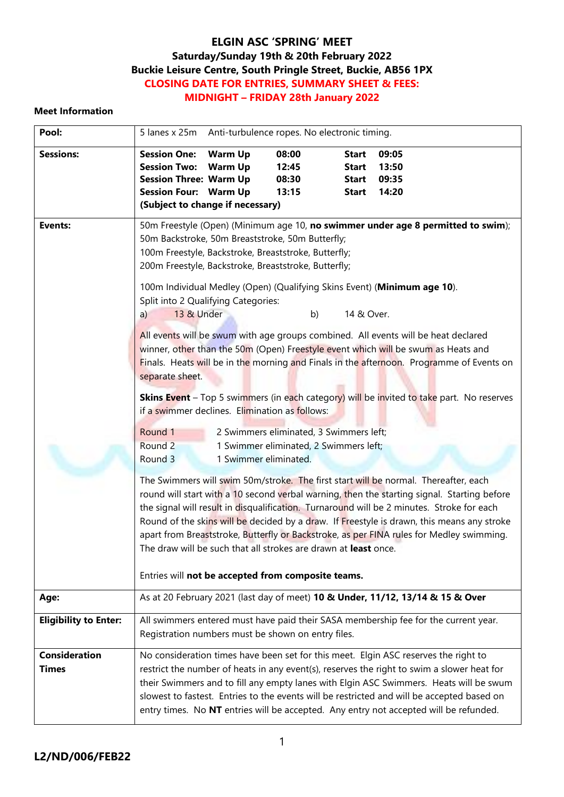### **Meet Information**

| Pool:                                | 5 lanes x 25m Anti-turbulence ropes. No electronic timing.                                                                                                                                                                                                                                                                                                                                                                                                                           |                                  |                                  |                                                              |                                                                                                                                                                                                                                                                                                                                                                                                                                                                           |  |  |
|--------------------------------------|--------------------------------------------------------------------------------------------------------------------------------------------------------------------------------------------------------------------------------------------------------------------------------------------------------------------------------------------------------------------------------------------------------------------------------------------------------------------------------------|----------------------------------|----------------------------------|--------------------------------------------------------------|---------------------------------------------------------------------------------------------------------------------------------------------------------------------------------------------------------------------------------------------------------------------------------------------------------------------------------------------------------------------------------------------------------------------------------------------------------------------------|--|--|
| <b>Sessions:</b>                     | <b>Session One:</b><br><b>Session Two:</b><br><b>Session Three: Warm Up</b><br><b>Session Four: Warm Up</b><br>(Subject to change if necessary)                                                                                                                                                                                                                                                                                                                                      | <b>Warm Up</b><br><b>Warm Up</b> | 08:00<br>12:45<br>08:30<br>13:15 | <b>Start</b><br><b>Start</b><br><b>Start</b><br><b>Start</b> | 09:05<br>13:50<br>09:35<br>14:20                                                                                                                                                                                                                                                                                                                                                                                                                                          |  |  |
| <b>Events:</b>                       | 50m Backstroke, 50m Breaststroke, 50m Butterfly;<br>100m Freestyle, Backstroke, Breaststroke, Butterfly;<br>200m Freestyle, Backstroke, Breaststroke, Butterfly;<br>Split into 2 Qualifying Categories:                                                                                                                                                                                                                                                                              |                                  |                                  |                                                              | 50m Freestyle (Open) (Minimum age 10, no swimmer under age 8 permitted to swim);<br>100m Individual Medley (Open) (Qualifying Skins Event) (Minimum age 10).                                                                                                                                                                                                                                                                                                              |  |  |
|                                      | 13 & Under<br>14 & Over.<br>b)<br>a)<br>All events will be swum with age groups combined. All events will be heat declared<br>winner, other than the 50m (Open) Freestyle event which will be swum as Heats and<br>Finals. Heats will be in the morning and Finals in the afternoon. Programme of Events on<br>separate sheet.<br><b>Skins Event</b> - Top 5 swimmers (in each category) will be invited to take part. No reserves<br>if a swimmer declines. Elimination as follows: |                                  |                                  |                                                              |                                                                                                                                                                                                                                                                                                                                                                                                                                                                           |  |  |
|                                      | Round 1<br>2 Swimmers eliminated, 3 Swimmers left;<br>Round 2<br>1 Swimmer eliminated, 2 Swimmers left;<br>Round 3<br>1 Swimmer eliminated.                                                                                                                                                                                                                                                                                                                                          |                                  |                                  |                                                              |                                                                                                                                                                                                                                                                                                                                                                                                                                                                           |  |  |
|                                      | The draw will be such that all strokes are drawn at least once.<br>Entries will not be accepted from composite teams.                                                                                                                                                                                                                                                                                                                                                                |                                  |                                  |                                                              | The Swimmers will swim 50m/stroke. The first start will be normal. Thereafter, each<br>round will start with a 10 second verbal warning, then the starting signal. Starting before<br>the signal will result in disqualification. Turnaround will be 2 minutes. Stroke for each<br>Round of the skins will be decided by a draw. If Freestyle is drawn, this means any stroke<br>apart from Breaststroke, Butterfly or Backstroke, as per FINA rules for Medley swimming. |  |  |
| Age:                                 |                                                                                                                                                                                                                                                                                                                                                                                                                                                                                      |                                  |                                  |                                                              | As at 20 February 2021 (last day of meet) 10 & Under, 11/12, 13/14 & 15 & Over                                                                                                                                                                                                                                                                                                                                                                                            |  |  |
| <b>Eligibility to Enter:</b>         | Registration numbers must be shown on entry files.                                                                                                                                                                                                                                                                                                                                                                                                                                   |                                  |                                  |                                                              | All swimmers entered must have paid their SASA membership fee for the current year.                                                                                                                                                                                                                                                                                                                                                                                       |  |  |
| <b>Consideration</b><br><b>Times</b> |                                                                                                                                                                                                                                                                                                                                                                                                                                                                                      |                                  |                                  |                                                              | No consideration times have been set for this meet. Elgin ASC reserves the right to<br>restrict the number of heats in any event(s), reserves the right to swim a slower heat for<br>their Swimmers and to fill any empty lanes with Elgin ASC Swimmers. Heats will be swum<br>slowest to fastest. Entries to the events will be restricted and will be accepted based on<br>entry times. No NT entries will be accepted. Any entry not accepted will be refunded.        |  |  |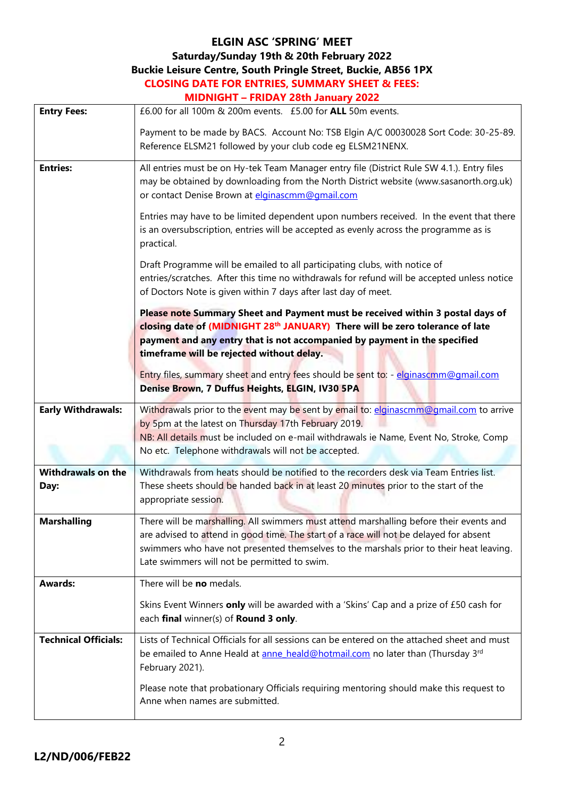# **ELGIN ASC 'SPRING' MEET**

## **Saturday/Sunday 19th & 20th February 2022**

## **Buckie Leisure Centre, South Pringle Street, Buckie, AB56 1PX**

| <b>CLOSING DATE FOR ENTRIES, SUMMARY SHEET &amp; FEES:</b> |  |  |
|------------------------------------------------------------|--|--|
| $MINNICUT = E DINAV 29th$ Lanuary 2022                     |  |  |

|                                   | <u> NIIDNIUMI – FRIDAT ZOTII JANUATY ZUZZ</u>                                                                                                                                                                                                                                                                                |  |  |  |  |  |
|-----------------------------------|------------------------------------------------------------------------------------------------------------------------------------------------------------------------------------------------------------------------------------------------------------------------------------------------------------------------------|--|--|--|--|--|
| <b>Entry Fees:</b>                | £6.00 for all 100m & 200m events. £5.00 for ALL 50m events.                                                                                                                                                                                                                                                                  |  |  |  |  |  |
|                                   | Payment to be made by BACS. Account No: TSB Elgin A/C 00030028 Sort Code: 30-25-89.<br>Reference ELSM21 followed by your club code eg ELSM21NENX.                                                                                                                                                                            |  |  |  |  |  |
| <b>Entries:</b>                   | All entries must be on Hy-tek Team Manager entry file (District Rule SW 4.1.). Entry files<br>may be obtained by downloading from the North District website (www.sasanorth.org.uk)<br>or contact Denise Brown at elginascmm@gmail.com                                                                                       |  |  |  |  |  |
|                                   | Entries may have to be limited dependent upon numbers received. In the event that there<br>is an oversubscription, entries will be accepted as evenly across the programme as is<br>practical.                                                                                                                               |  |  |  |  |  |
|                                   | Draft Programme will be emailed to all participating clubs, with notice of<br>entries/scratches. After this time no withdrawals for refund will be accepted unless notice<br>of Doctors Note is given within 7 days after last day of meet.                                                                                  |  |  |  |  |  |
|                                   | Please note Summary Sheet and Payment must be received within 3 postal days of<br>closing date of (MIDNIGHT 28th JANUARY) There will be zero tolerance of late<br>payment and any entry that is not accompanied by payment in the specified<br>timeframe will be rejected without delay.                                     |  |  |  |  |  |
|                                   | Entry files, summary sheet and entry fees should be sent to: - elginascmm@gmail.com<br>Denise Brown, 7 Duffus Heights, ELGIN, IV30 5PA                                                                                                                                                                                       |  |  |  |  |  |
| <b>Early Withdrawals:</b>         | Withdrawals prior to the event may be sent by email to: elginascmm@gmail.com to arrive<br>by 5pm at the latest on Thursday 17th February 2019.<br>NB: All details must be included on e-mail withdrawals ie Name, Event No, Stroke, Comp<br>No etc. Telephone withdrawals will not be accepted.                              |  |  |  |  |  |
| <b>Withdrawals on the</b><br>Day: | Withdrawals from heats should be notified to the recorders desk via Team Entries list.<br>These sheets should be handed back in at least 20 minutes prior to the start of the<br>appropriate session.                                                                                                                        |  |  |  |  |  |
| <b>Marshalling</b>                | There will be marshalling. All swimmers must attend marshalling before their events and<br>are advised to attend in good time. The start of a race will not be delayed for absent<br>swimmers who have not presented themselves to the marshals prior to their heat leaving.<br>Late swimmers will not be permitted to swim. |  |  |  |  |  |
| <b>Awards:</b>                    | There will be no medals.                                                                                                                                                                                                                                                                                                     |  |  |  |  |  |
|                                   | Skins Event Winners only will be awarded with a 'Skins' Cap and a prize of £50 cash for<br>each final winner(s) of Round 3 only.                                                                                                                                                                                             |  |  |  |  |  |
| <b>Technical Officials:</b>       | Lists of Technical Officials for all sessions can be entered on the attached sheet and must<br>be emailed to Anne Heald at anne heald@hotmail.com no later than (Thursday 3rd<br>February 2021).                                                                                                                             |  |  |  |  |  |
|                                   | Please note that probationary Officials requiring mentoring should make this request to<br>Anne when names are submitted.                                                                                                                                                                                                    |  |  |  |  |  |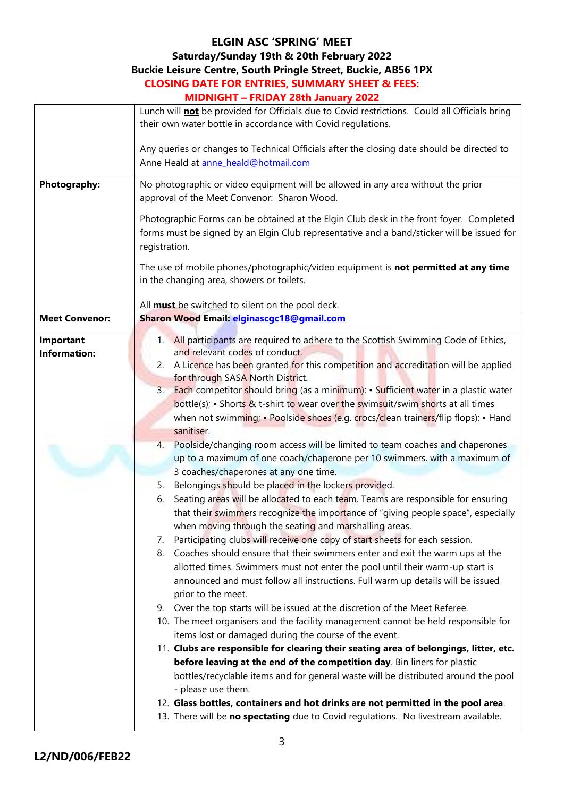# **ELGIN ASC 'SPRING' MEET**

## **Saturday/Sunday 19th & 20th February 2022**

# **Buckie Leisure Centre, South Pringle Street, Buckie, AB56 1PX**

#### **CLOSING DATE FOR ENTRIES, SUMMARY SHEET & FEES: MIDNIGHT – FRIDAY 28th January 2022**

|                       | <b>MIDNIUM - FRIDAY ZOUI JANUARY ZUZZ</b>                                                                                                                                                                                             |
|-----------------------|---------------------------------------------------------------------------------------------------------------------------------------------------------------------------------------------------------------------------------------|
|                       | Lunch will <b>not</b> be provided for Officials due to Covid restrictions. Could all Officials bring<br>their own water bottle in accordance with Covid regulations.                                                                  |
|                       | Any queries or changes to Technical Officials after the closing date should be directed to<br>Anne Heald at anne heald@hotmail.com                                                                                                    |
| <b>Photography:</b>   | No photographic or video equipment will be allowed in any area without the prior<br>approval of the Meet Convenor: Sharon Wood.                                                                                                       |
|                       | Photographic Forms can be obtained at the Elgin Club desk in the front foyer. Completed<br>forms must be signed by an Elgin Club representative and a band/sticker will be issued for<br>registration.                                |
|                       | The use of mobile phones/photographic/video equipment is not permitted at any time<br>in the changing area, showers or toilets.                                                                                                       |
|                       | All must be switched to silent on the pool deck.                                                                                                                                                                                      |
| <b>Meet Convenor:</b> | Sharon Wood Email: elginascgc18@gmail.com                                                                                                                                                                                             |
| Important             | 1. All participants are required to adhere to the Scottish Swimming Code of Ethics,                                                                                                                                                   |
| <b>Information:</b>   | and relevant codes of conduct.<br>2. A Licence has been granted for this competition and accreditation will be applied                                                                                                                |
|                       | for through SASA North District.                                                                                                                                                                                                      |
|                       | 3. Each competitor should bring (as a minimum): • Sufficient water in a plastic water                                                                                                                                                 |
|                       | bottle(s); • Shorts & t-shirt to wear over the swimsuit/swim shorts at all times                                                                                                                                                      |
|                       | when not swimming; • Poolside shoes (e.g. crocs/clean trainers/flip flops); • Hand                                                                                                                                                    |
|                       | sanitiser.                                                                                                                                                                                                                            |
|                       | 4. Poolside/changing room access will be limited to team coaches and chaperones                                                                                                                                                       |
|                       | up to a maximum of one coach/chaperone per 10 swimmers, with a maximum of                                                                                                                                                             |
|                       | 3 coaches/chaperones at any one time.                                                                                                                                                                                                 |
|                       | Belongings should be placed in the lockers provided.<br>5.                                                                                                                                                                            |
|                       | Seating areas will be allocated to each team. Teams are responsible for ensuring<br>6.<br>that their swimmers recognize the importance of "giving people space", especially<br>when moving through the seating and marshalling areas. |
|                       | 7. Participating clubs will receive one copy of start sheets for each session.                                                                                                                                                        |
|                       | Coaches should ensure that their swimmers enter and exit the warm ups at the<br>8.                                                                                                                                                    |
|                       | allotted times. Swimmers must not enter the pool until their warm-up start is<br>announced and must follow all instructions. Full warm up details will be issued                                                                      |
|                       | prior to the meet.                                                                                                                                                                                                                    |
|                       | 9. Over the top starts will be issued at the discretion of the Meet Referee.                                                                                                                                                          |
|                       | 10. The meet organisers and the facility management cannot be held responsible for                                                                                                                                                    |
|                       | items lost or damaged during the course of the event.<br>11. Clubs are responsible for clearing their seating area of belongings, litter, etc.                                                                                        |
|                       | before leaving at the end of the competition day. Bin liners for plastic                                                                                                                                                              |
|                       | bottles/recyclable items and for general waste will be distributed around the pool                                                                                                                                                    |
|                       | - please use them.                                                                                                                                                                                                                    |
|                       | 12. Glass bottles, containers and hot drinks are not permitted in the pool area.                                                                                                                                                      |
|                       | 13. There will be no spectating due to Covid regulations. No livestream available.                                                                                                                                                    |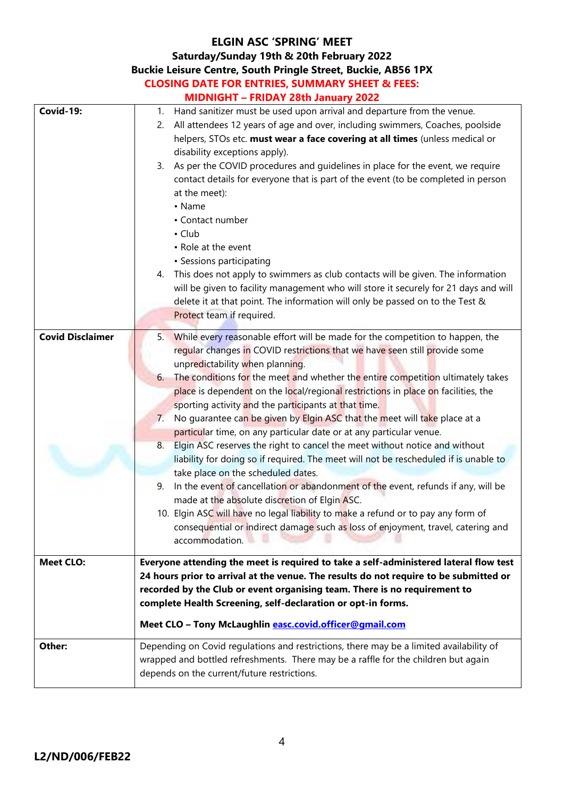## **ELGIN ASC 'SPRING' MEET Saturday/Sunday 19th & 20th February 2022 Buckie Leisure Centre, South Pringle Street, Buckie, AB56 1PX CLOSING DATE FOR ENTRIES, SUMMARY SHEET & FEES: MIDNIGHT – FRIDAY 28th January 2022 Covid-19:** 1. Hand sanitizer must be used upon arrival and departure from the venue. 2. All attendees 12 years of age and over, including swimmers, Coaches, poolside helpers, STOs etc. **must wear a face covering at all times** (unless medical or disability exceptions apply). 3. As per the COVID procedures and guidelines in place for the event, we require contact details for everyone that is part of the event (to be completed in person at the meet): • Name • Contact number • Club • Role at the event • Sessions participating 4. This does not apply to swimmers as club contacts will be given. The information will be given to facility management who will store it securely for 21 days and will delete it at that point. The information will only be passed on to the Test & Protect team if required. **Covid Disclaimer** 5. While every reasonable effort will be made for the competition to happen, the regular changes in COVID restrictions that we have seen still provide some unpredictability when planning. 6. The conditions for the meet and whether the entire competition ultimately takes place is dependent on the local/regional restrictions in place on facilities, the sporting activity and the participants at that time. 7. No guarantee can be given by Elgin ASC that the meet will take place at a particular time, on any particular date or at any particular venue. 8. Elgin ASC reserves the right to cancel the meet without notice and without liability for doing so if required. The meet will not be rescheduled if is unable to take place on the scheduled dates. 9. In the event of cancellation or abandonment of the event, refunds if any, will be made at the absolute discretion of Elgin ASC. 10. Elgin ASC will have no legal liability to make a refund or to pay any form of consequential or indirect damage such as loss of enjoyment, travel, catering and accommodation. **Meet CLO: Everyone attending the meet is required to take a self-administered lateral flow test 24 hours prior to arrival at the venue. The results do not require to be submitted or recorded by the Club or event organising team. There is no requirement to complete Health Screening, self-declaration or opt-in forms. Meet CLO – Tony McLaughlin [easc.covid.officer@gmail.com](mailto:easc.covid.officer@gmail.com) Other:** Depending on Covid regulations and restrictions, there may be a limited availability of wrapped and bottled refreshments. There may be a raffle for the children but again depends on the current/future restrictions.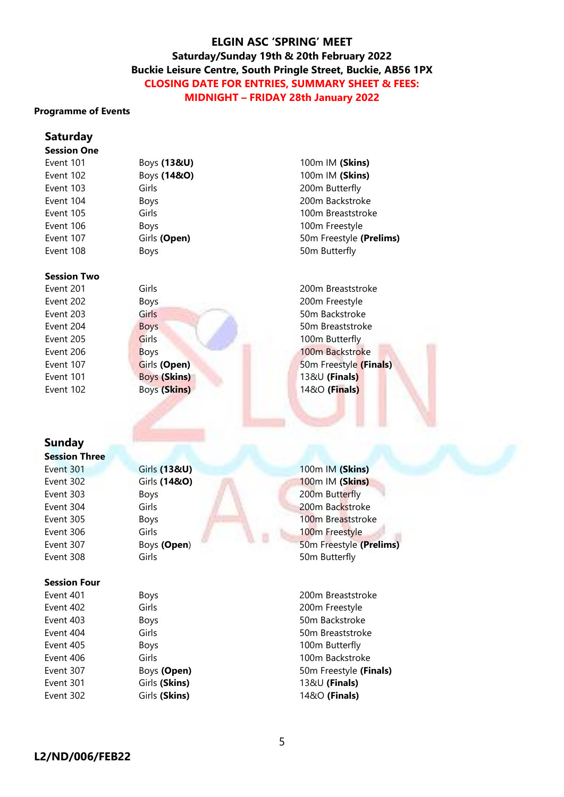#### **Programme of Events**

#### **Saturday**

### **Session One**

| Event 101 |  |
|-----------|--|
| Event 102 |  |
| Event 103 |  |
| Event 104 |  |
| Event 105 |  |
| Event 106 |  |
| Event 107 |  |
| Event 108 |  |

#### **Session Two**

## **Sunday**

**Session Three**

#### **Session Four**

- 
- 

Event 101 Boys **(13&U)** 100m IM **(Skins)** Event 102 Boys **(14&O)** 100m IM **(Skins)** Girls **Girls** 200m Butterfly Boys 200m Backstroke Girls **Girls** Girls 100m Breaststroke Boys **Boys Boys Boys Boys Boys Boys Boys Boys Boys Boys Boys Boys Boys Boys Boys Boys Boys Boys Boys Boys Boys Boys Boys Boys Boys Boys Boys Boys Boys Boys Boys** Girls **(Open)** 50m Freestyle **(Prelims)** Boys 50m Butterfly

Event 201 Girls 200m Breaststroke Event 202 Boys Boys 200m Freestyle Event 203 Girls 50m Backstroke Event 204 Boys Boys 50m Breaststroke Event 205 Girls 6 Girls 100m Butterfly Event 206 Boys Boys 100m Backstroke Event 107 **Girls (Open)** 50m Freestyle **(Finals)** Event 101 Boys **(Skins)** 13&U **(Finals)** Event 102 Boys **(Skins)** 14&O **(Finals)**

Event 301 Girls **(13&U)** 100m IM **(Skins)** Event 302 Girls **(14&O)** 100m IM **(Skins)** Event 303 Boys Boys 200m Butterfly Event 304 Girls Girls 200m Backstroke Event 305 Boys Boys 100m Breaststroke Event 306 Girls Girls 100m Freestyle Event 307 Boys **(Open**) 50m Freestyle **(Prelims)** Event 308 Girls 50m Butterfly

Event 401 Boys Boys 200m Breaststroke Event 402 Girls Girls 200m Freestyle Event 403 Boys Boys 50m Backstroke Event 404 Girls 650m Breaststroke Event 405 Boys Bows 100m Butterfly Event 406 Girls Girls 100m Backstroke Event 307 Boys (Open) 50m Freestyle (Finals) Event 301 Girls **(Skins)** 13&U **(Finals)** Event 302 Girls **(Skins)** 14&O **(Finals)**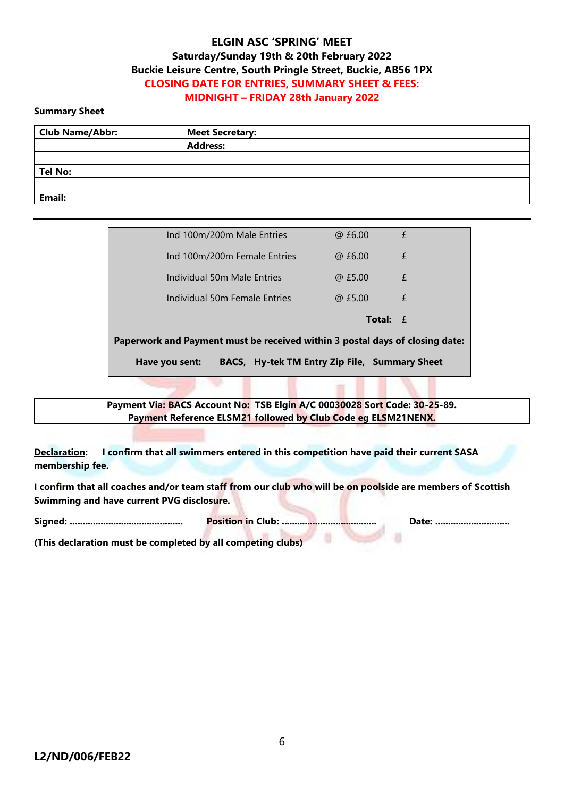#### **Summary Sheet**

| <b>Club Name/Abbr:</b> | <b>Meet Secretary:</b> |
|------------------------|------------------------|
|                        | <b>Address:</b>        |
|                        |                        |
| <b>Tel No:</b>         |                        |
|                        |                        |
| Email:                 |                        |

| BACS, Hy-tek TM Entry Zip File, Summary Sheet<br>Have you sent:              |                   |   |
|------------------------------------------------------------------------------|-------------------|---|
| Paperwork and Payment must be received within 3 postal days of closing date: |                   |   |
|                                                                              | <b>Total:</b> $f$ |   |
| Individual 50m Female Entries                                                | @E5.00            | £ |
| Individual 50m Male Entries                                                  | @E5.00            | £ |
| Ind 100m/200m Female Entries                                                 | @E6.00            | £ |
| Ind 100m/200m Male Entries                                                   | @ £6.00           | £ |

**Payment Via: BACS Account No: TSB Elgin A/C 00030028 Sort Code: 30-25-89. Payment Reference ELSM21 followed by Club Code eg ELSM21NENX.**

**Declaration: I confirm that all swimmers entered in this competition have paid their current SASA membership fee.**

**I confirm that all coaches and/or team staff from our club who will be on poolside are members of Scottish Swimming and have current PVG disclosure.**

**Signed: ............................................ Position in Club: ..................................... Date: .............................**

U

**(This declaration must be completed by all competing clubs)**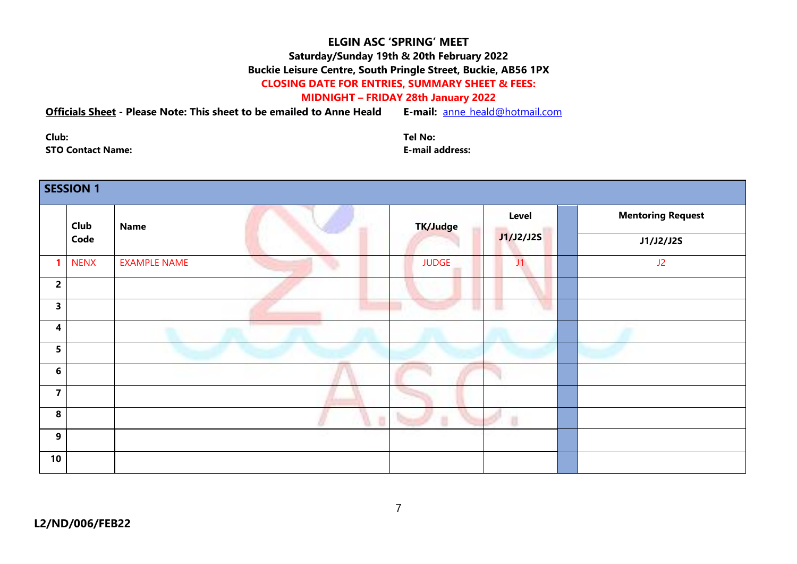### **MIDNIGHT – FRIDAY 28th January 2022**

## **Officials Sheet - Please Note: This sheet to be emailed to Anne Heald E-mail:** [anne\\_heald@hotmail.com](mailto:anne_heald@hotmail.com)

**Club: Tel No: STO Contact Name: E-mail address:**

|                         | <b>SESSION 1</b> |                     |              |                    |                                       |
|-------------------------|------------------|---------------------|--------------|--------------------|---------------------------------------|
|                         | Club<br>Code     | <b>Name</b>         | TK/Judge     | Level<br>J1/J2/J2S | <b>Mentoring Request</b><br>J1/J2/J2S |
|                         | <b>NENX</b>      | <b>EXAMPLE NAME</b> | <b>JUDGE</b> | J1                 | J2                                    |
| $\overline{2}$          |                  |                     |              |                    |                                       |
| $\mathbf{3}$            |                  |                     |              |                    |                                       |
| $\overline{\mathbf{4}}$ |                  |                     |              |                    |                                       |
| 5 <sup>1</sup>          |                  |                     |              |                    |                                       |
| $6\phantom{1}$          |                  |                     |              |                    |                                       |
| $\overline{\mathbf{7}}$ |                  |                     |              |                    |                                       |
| $\boldsymbol{8}$        |                  |                     |              | U                  |                                       |
| $\mathbf{9}$            |                  |                     |              |                    |                                       |
| 10                      |                  |                     |              |                    |                                       |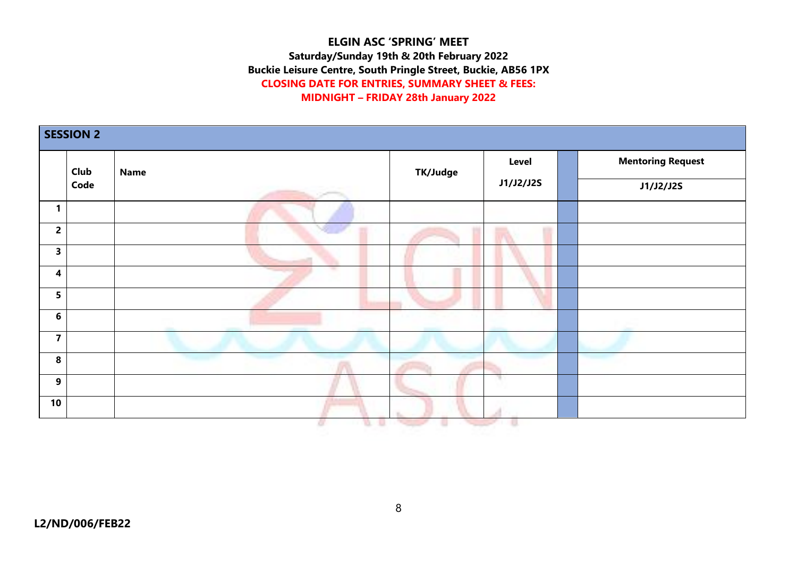|                         | <b>SESSION 2</b><br>Club<br><b>Name</b><br>Code |   | TK/Judge | Level     | <b>Mentoring Request</b> |  |
|-------------------------|-------------------------------------------------|---|----------|-----------|--------------------------|--|
|                         |                                                 |   |          | J1/J2/J2S | <b>J1/J2/J2S</b>         |  |
| $\mathbf{1}$            |                                                 |   |          |           |                          |  |
| $\overline{\mathbf{c}}$ |                                                 |   |          |           |                          |  |
| 3                       |                                                 |   |          |           |                          |  |
| $\overline{\mathbf{4}}$ |                                                 | ÷ |          |           |                          |  |
| 5                       |                                                 |   |          |           |                          |  |
| $\bf 6$                 |                                                 |   |          |           |                          |  |
| $\overline{\mathbf{z}}$ |                                                 |   |          |           |                          |  |
| 8                       |                                                 |   |          |           |                          |  |
| 9                       |                                                 |   |          |           |                          |  |
| $10$                    |                                                 |   |          |           |                          |  |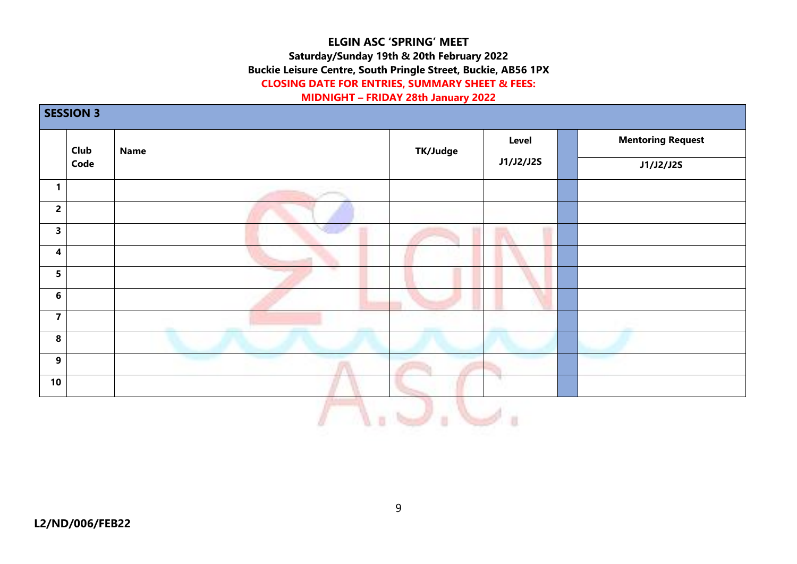# **ELGIN ASC 'SPRING' MEET Saturday/Sunday 19th & 20th February 2022 Buckie Leisure Centre, South Pringle Street, Buckie, AB56 1PX**

# **CLOSING DATE FOR ENTRIES, SUMMARY SHEET & FEES:**

### **MIDNIGHT – FRIDAY 28th January 2022**

|                         | Club | <b>Name</b> | TK/Judge  | Level            | <b>Mentoring Request</b> |
|-------------------------|------|-------------|-----------|------------------|--------------------------|
| Code                    |      |             | J1/J2/J2S | <b>J1/J2/J2S</b> |                          |
| $\mathbf{1}$            |      |             |           |                  |                          |
| $\overline{\mathbf{c}}$ |      |             |           |                  |                          |
| $\overline{\mathbf{3}}$ |      |             |           |                  |                          |
| $\boldsymbol{4}$        |      |             |           |                  |                          |
| $5\phantom{a}$          |      |             |           |                  |                          |
| $\bf 6$                 |      |             |           |                  |                          |
| $\overline{\mathbf{7}}$ |      |             |           |                  |                          |
| $\pmb{8}$               |      |             |           |                  |                          |
| $\mathbf{9}$            |      |             |           |                  |                          |
| 10                      |      |             |           |                  |                          |